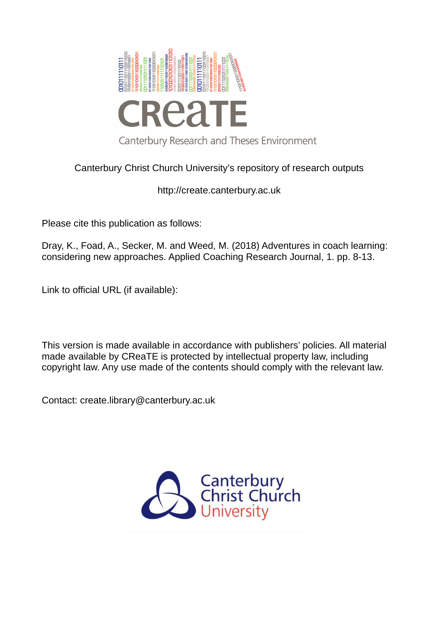

# Canterbury Christ Church University's repository of research outputs

# http://create.canterbury.ac.uk

Please cite this publication as follows:

Dray, K., Foad, A., Secker, M. and Weed, M. (2018) Adventures in coach learning: considering new approaches. Applied Coaching Research Journal, 1. pp. 8-13.

Link to official URL (if available):

This version is made available in accordance with publishers' policies. All material made available by CReaTE is protected by intellectual property law, including copyright law. Any use made of the contents should comply with the relevant law.

Contact: create.library@canterbury.ac.uk

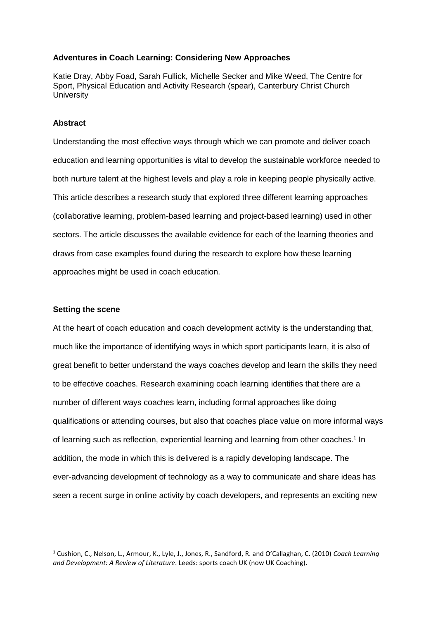# **Adventures in Coach Learning: Considering New Approaches**

Katie Dray, Abby Foad, Sarah Fullick, Michelle Secker and Mike Weed, The Centre for Sport, Physical Education and Activity Research (spear), Canterbury Christ Church **University** 

# **Abstract**

Understanding the most effective ways through which we can promote and deliver coach education and learning opportunities is vital to develop the sustainable workforce needed to both nurture talent at the highest levels and play a role in keeping people physically active. This article describes a research study that explored three different learning approaches (collaborative learning, problem-based learning and project-based learning) used in other sectors. The article discusses the available evidence for each of the learning theories and draws from case examples found during the research to explore how these learning approaches might be used in coach education.

# **Setting the scene**

<u>.</u>

At the heart of coach education and coach development activity is the understanding that, much like the importance of identifying ways in which sport participants learn, it is also of great benefit to better understand the ways coaches develop and learn the skills they need to be effective coaches. Research examining coach learning identifies that there are a number of different ways coaches learn, including formal approaches like doing qualifications or attending courses, but also that coaches place value on more informal ways of learning such as reflection, experiential learning and learning from other coaches.<sup>1</sup> In addition, the mode in which this is delivered is a rapidly developing landscape. The ever-advancing development of technology as a way to communicate and share ideas has seen a recent surge in online activity by coach developers, and represents an exciting new

<sup>&</sup>lt;sup>1</sup> Cushion, C., Nelson, L., Armour, K., Lyle, J., Jones, R., Sandford, R. and O'Callaghan, C. (2010) *Coach Learning and Development: A Review of Literature*. Leeds: sports coach UK (now UK Coaching).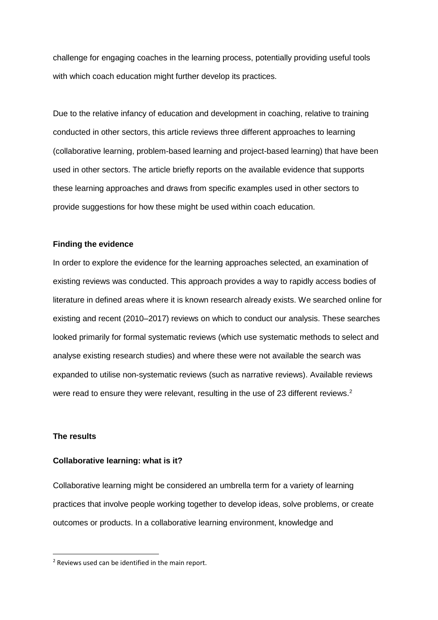challenge for engaging coaches in the learning process, potentially providing useful tools with which coach education might further develop its practices.

Due to the relative infancy of education and development in coaching, relative to training conducted in other sectors, this article reviews three different approaches to learning (collaborative learning, problem-based learning and project-based learning) that have been used in other sectors. The article briefly reports on the available evidence that supports these learning approaches and draws from specific examples used in other sectors to provide suggestions for how these might be used within coach education.

#### **Finding the evidence**

In order to explore the evidence for the learning approaches selected, an examination of existing reviews was conducted. This approach provides a way to rapidly access bodies of literature in defined areas where it is known research already exists. We searched online for existing and recent (2010–2017) reviews on which to conduct our analysis. These searches looked primarily for formal systematic reviews (which use systematic methods to select and analyse existing research studies) and where these were not available the search was expanded to utilise non-systematic reviews (such as narrative reviews). Available reviews were read to ensure they were relevant, resulting in the use of 23 different reviews.<sup>2</sup>

#### **The results**

-

#### **Collaborative learning: what is it?**

Collaborative learning might be considered an umbrella term for a variety of learning practices that involve people working together to develop ideas, solve problems, or create outcomes or products. In a collaborative learning environment, knowledge and

<sup>&</sup>lt;sup>2</sup> Reviews used can be identified in the main report.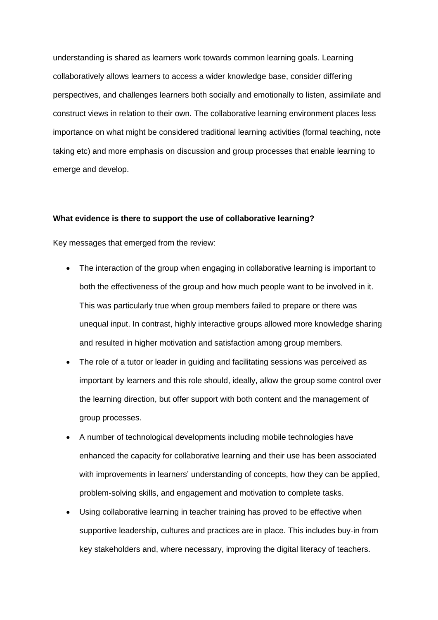understanding is shared as learners work towards common learning goals. Learning collaboratively allows learners to access a wider knowledge base, consider differing perspectives, and challenges learners both socially and emotionally to listen, assimilate and construct views in relation to their own. The collaborative learning environment places less importance on what might be considered traditional learning activities (formal teaching, note taking etc) and more emphasis on discussion and group processes that enable learning to emerge and develop.

#### **What evidence is there to support the use of collaborative learning?**

Key messages that emerged from the review:

- The interaction of the group when engaging in collaborative learning is important to both the effectiveness of the group and how much people want to be involved in it. This was particularly true when group members failed to prepare or there was unequal input. In contrast, highly interactive groups allowed more knowledge sharing and resulted in higher motivation and satisfaction among group members.
- The role of a tutor or leader in guiding and facilitating sessions was perceived as important by learners and this role should, ideally, allow the group some control over the learning direction, but offer support with both content and the management of group processes.
- A number of technological developments including mobile technologies have enhanced the capacity for collaborative learning and their use has been associated with improvements in learners' understanding of concepts, how they can be applied, problem-solving skills, and engagement and motivation to complete tasks.
- Using collaborative learning in teacher training has proved to be effective when supportive leadership, cultures and practices are in place. This includes buy-in from key stakeholders and, where necessary, improving the digital literacy of teachers.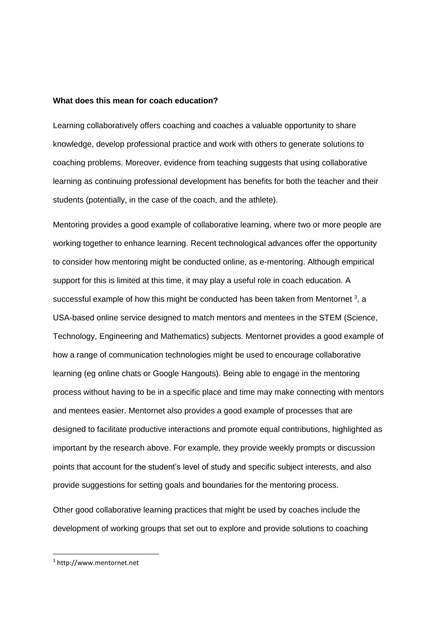#### **What does this mean for coach education?**

Learning collaboratively offers coaching and coaches a valuable opportunity to share knowledge, develop professional practice and work with others to generate solutions to coaching problems. Moreover, evidence from teaching suggests that using collaborative learning as continuing professional development has benefits for both the teacher and their students (potentially, in the case of the coach, and the athlete).

Mentoring provides a good example of collaborative learning, where two or more people are working together to enhance learning. Recent technological advances offer the opportunity to consider how mentoring might be conducted online, as e-mentoring. Although empirical support for this is limited at this time, it may play a useful role in coach education. A successful example of how this might be conducted has been taken from Mentornet  $3$ , a USA-based online service designed to match mentors and mentees in the STEM (Science, Technology, Engineering and Mathematics) subjects. Mentornet provides a good example of how a range of communication technologies might be used to encourage collaborative learning (eg online chats or Google Hangouts). Being able to engage in the mentoring process without having to be in a specific place and time may make connecting with mentors and mentees easier. Mentornet also provides a good example of processes that are designed to facilitate productive interactions and promote equal contributions, highlighted as important by the research above. For example, they provide weekly prompts or discussion points that account for the student's level of study and specific subject interests, and also provide suggestions for setting goals and boundaries for the mentoring process.

Other good collaborative learning practices that might be used by coaches include the development of working groups that set out to explore and provide solutions to coaching

-

<sup>3</sup>  [http://www.mentornet.net](http://www.mentor/)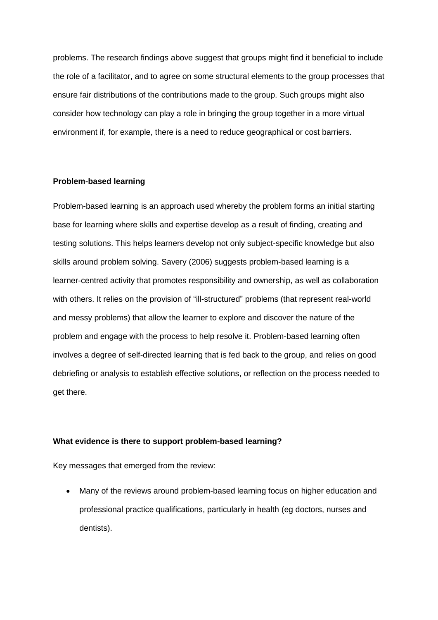problems. The research findings above suggest that groups might find it beneficial to include the role of a facilitator, and to agree on some structural elements to the group processes that ensure fair distributions of the contributions made to the group. Such groups might also consider how technology can play a role in bringing the group together in a more virtual environment if, for example, there is a need to reduce geographical or cost barriers.

# **Problem-based learning**

Problem-based learning is an approach used whereby the problem forms an initial starting base for learning where skills and expertise develop as a result of finding, creating and testing solutions. This helps learners develop not only subject-specific knowledge but also skills around problem solving. Savery (2006) suggests problem-based learning is a learner-centred activity that promotes responsibility and ownership, as well as collaboration with others. It relies on the provision of "ill-structured" problems (that represent real-world and messy problems) that allow the learner to explore and discover the nature of the problem and engage with the process to help resolve it. Problem-based learning often involves a degree of self-directed learning that is fed back to the group, and relies on good debriefing or analysis to establish effective solutions, or reflection on the process needed to get there.

# **What evidence is there to support problem-based learning?**

Key messages that emerged from the review:

 Many of the reviews around problem-based learning focus on higher education and professional practice qualifications, particularly in health (eg doctors, nurses and dentists).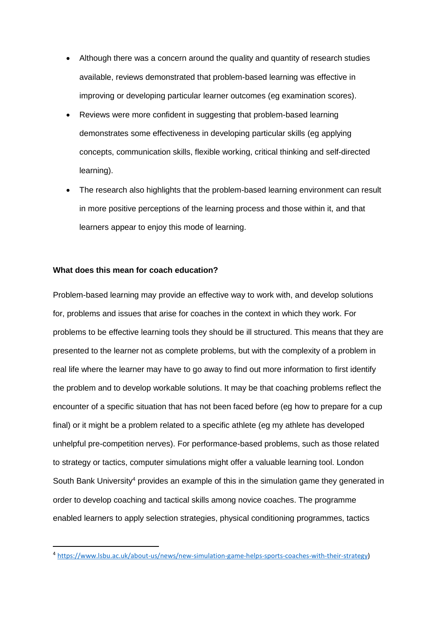- Although there was a concern around the quality and quantity of research studies available, reviews demonstrated that problem-based learning was effective in improving or developing particular learner outcomes (eg examination scores).
- Reviews were more confident in suggesting that problem-based learning demonstrates some effectiveness in developing particular skills (eg applying concepts, communication skills, flexible working, critical thinking and self-directed learning).
- The research also highlights that the problem-based learning environment can result in more positive perceptions of the learning process and those within it, and that learners appear to enjoy this mode of learning.

# **What does this mean for coach education?**

.<br>-

Problem-based learning may provide an effective way to work with, and develop solutions for, problems and issues that arise for coaches in the context in which they work. For problems to be effective learning tools they should be ill structured. This means that they are presented to the learner not as complete problems, but with the complexity of a problem in real life where the learner may have to go away to find out more information to first identify the problem and to develop workable solutions. It may be that coaching problems reflect the encounter of a specific situation that has not been faced before (eg how to prepare for a cup final) or it might be a problem related to a specific athlete (eg my athlete has developed unhelpful pre-competition nerves). For performance-based problems, such as those related to strategy or tactics, computer simulations might offer a valuable learning tool. London South Bank University<sup>4</sup> provides an example of this in the simulation game they generated in order to develop coaching and tactical skills among novice coaches. The programme enabled learners to apply selection strategies, physical conditioning programmes, tactics

<sup>4</sup> [https://www.lsbu.ac.uk/about-us/news/new-simulation-game-helps-sports-coaches-with-their-strategy\)](https://www.lsbu.ac.uk/about-us/news/new-simulation-game-helps-sports-coaches-with-their-strategy)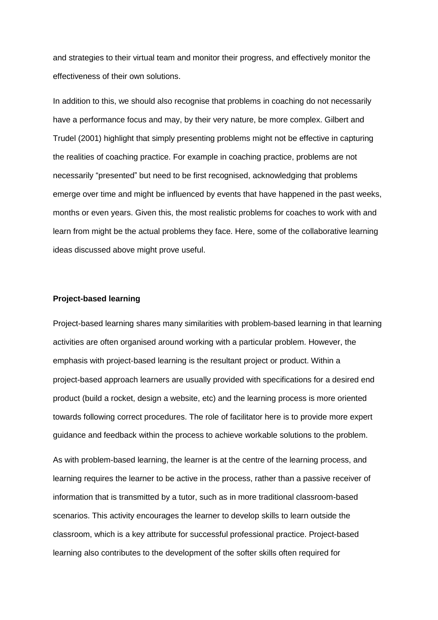and strategies to their virtual team and monitor their progress, and effectively monitor the effectiveness of their own solutions.

In addition to this, we should also recognise that problems in coaching do not necessarily have a performance focus and may, by their very nature, be more complex. Gilbert and Trudel (2001) highlight that simply presenting problems might not be effective in capturing the realities of coaching practice. For example in coaching practice, problems are not necessarily "presented" but need to be first recognised, acknowledging that problems emerge over time and might be influenced by events that have happened in the past weeks, months or even years. Given this, the most realistic problems for coaches to work with and learn from might be the actual problems they face. Here, some of the collaborative learning ideas discussed above might prove useful.

#### **Project-based learning**

Project-based learning shares many similarities with problem-based learning in that learning activities are often organised around working with a particular problem. However, the emphasis with project-based learning is the resultant project or product. Within a project-based approach learners are usually provided with specifications for a desired end product (build a rocket, design a website, etc) and the learning process is more oriented towards following correct procedures. The role of facilitator here is to provide more expert guidance and feedback within the process to achieve workable solutions to the problem.

As with problem-based learning, the learner is at the centre of the learning process, and learning requires the learner to be active in the process, rather than a passive receiver of information that is transmitted by a tutor, such as in more traditional classroom-based scenarios. This activity encourages the learner to develop skills to learn outside the classroom, which is a key attribute for successful professional practice. Project-based learning also contributes to the development of the softer skills often required for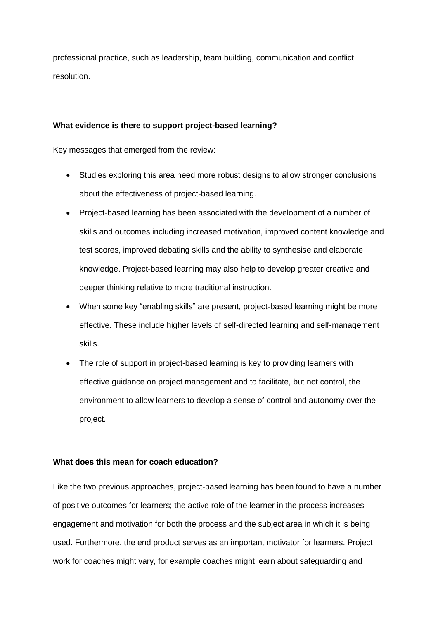professional practice, such as leadership, team building, communication and conflict resolution.

# **What evidence is there to support project-based learning?**

Key messages that emerged from the review:

- Studies exploring this area need more robust designs to allow stronger conclusions about the effectiveness of project-based learning.
- Project-based learning has been associated with the development of a number of skills and outcomes including increased motivation, improved content knowledge and test scores, improved debating skills and the ability to synthesise and elaborate knowledge. Project-based learning may also help to develop greater creative and deeper thinking relative to more traditional instruction.
- When some key "enabling skills" are present, project-based learning might be more effective. These include higher levels of self-directed learning and self-management skills.
- The role of support in project-based learning is key to providing learners with effective guidance on project management and to facilitate, but not control, the environment to allow learners to develop a sense of control and autonomy over the project.

# **What does this mean for coach education?**

Like the two previous approaches, project-based learning has been found to have a number of positive outcomes for learners; the active role of the learner in the process increases engagement and motivation for both the process and the subject area in which it is being used. Furthermore, the end product serves as an important motivator for learners. Project work for coaches might vary, for example coaches might learn about safeguarding and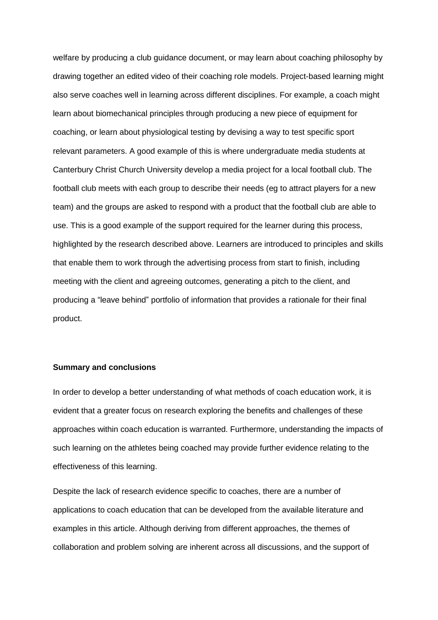welfare by producing a club guidance document, or may learn about coaching philosophy by drawing together an edited video of their coaching role models. Project-based learning might also serve coaches well in learning across different disciplines. For example, a coach might learn about biomechanical principles through producing a new piece of equipment for coaching, or learn about physiological testing by devising a way to test specific sport relevant parameters. A good example of this is where undergraduate media students at Canterbury Christ Church University develop a media project for a local football club. The football club meets with each group to describe their needs (eg to attract players for a new team) and the groups are asked to respond with a product that the football club are able to use. This is a good example of the support required for the learner during this process, highlighted by the research described above. Learners are introduced to principles and skills that enable them to work through the advertising process from start to finish, including meeting with the client and agreeing outcomes, generating a pitch to the client, and producing a "leave behind" portfolio of information that provides a rationale for their final product.

# **Summary and conclusions**

In order to develop a better understanding of what methods of coach education work, it is evident that a greater focus on research exploring the benefits and challenges of these approaches within coach education is warranted. Furthermore, understanding the impacts of such learning on the athletes being coached may provide further evidence relating to the effectiveness of this learning.

Despite the lack of research evidence specific to coaches, there are a number of applications to coach education that can be developed from the available literature and examples in this article. Although deriving from different approaches, the themes of collaboration and problem solving are inherent across all discussions, and the support of